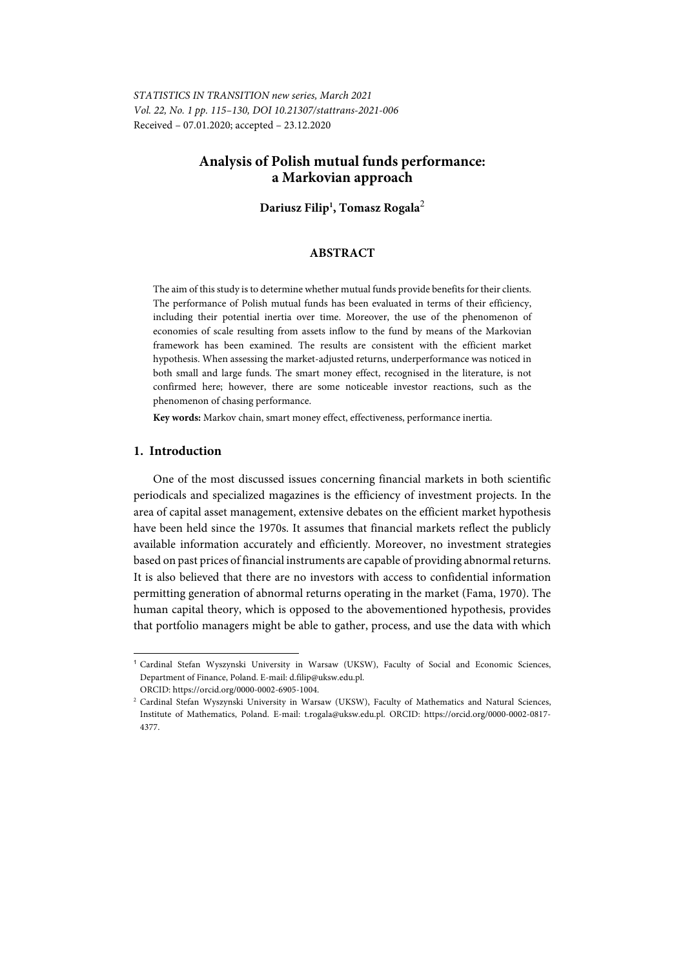*STATISTICS IN TRANSITION new series, March 2021 Vol. 22, No. 1 pp. 115–130, DOI 10.21307/stattrans-2021-006*  Received – 07.01.2020; accepted – 23.12.2020

# **Analysis of Polish mutual funds performance: a Markovian approach**

**Dariusz Filip1 , Tomasz Rogala**<sup>2</sup>

## **ABSTRACT**

The aim of this study is to determine whether mutual funds provide benefits for their clients. The performance of Polish mutual funds has been evaluated in terms of their efficiency, including their potential inertia over time. Moreover, the use of the phenomenon of economies of scale resulting from assets inflow to the fund by means of the Markovian framework has been examined. The results are consistent with the efficient market hypothesis. When assessing the market-adjusted returns, underperformance was noticed in both small and large funds. The smart money effect, recognised in the literature, is not confirmed here; however, there are some noticeable investor reactions, such as the phenomenon of chasing performance.

**Key words:** Markov chain, smart money effect, effectiveness, performance inertia.

## **1. Introduction**

l

One of the most discussed issues concerning financial markets in both scientific periodicals and specialized magazines is the efficiency of investment projects. In the area of capital asset management, extensive debates on the efficient market hypothesis have been held since the 1970s. It assumes that financial markets reflect the publicly available information accurately and efficiently. Moreover, no investment strategies based on past prices of financial instruments are capable of providing abnormal returns. It is also believed that there are no investors with access to confidential information permitting generation of abnormal returns operating in the market (Fama, 1970). The human capital theory, which is opposed to the abovementioned hypothesis, provides that portfolio managers might be able to gather, process, and use the data with which

<sup>1</sup> Cardinal Stefan Wyszynski University in Warsaw (UKSW), Faculty of Social and Economic Sciences, Department of Finance, Poland. E-mail: d.filip@uksw.edu.pl.

ORCID: https://orcid.org/0000-0002-6905-1004. 2

Cardinal Stefan Wyszynski University in Warsaw (UKSW), Faculty of Mathematics and Natural Sciences, Institute of Mathematics, Poland. E-mail: t.rogala@uksw.edu.pl. ORCID: https://orcid.org/0000-0002-0817- 4377.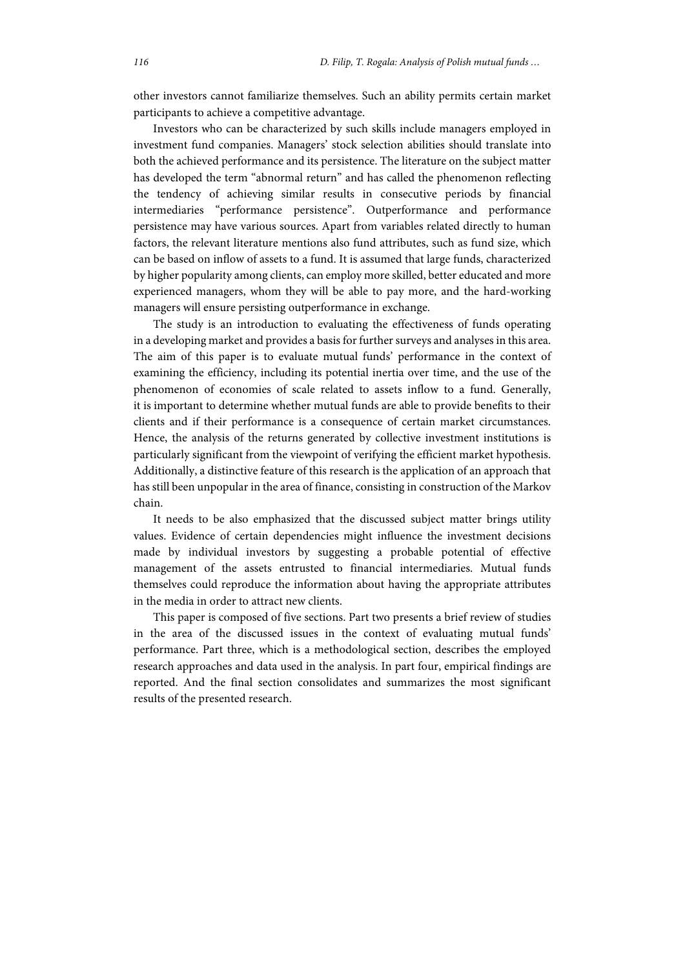other investors cannot familiarize themselves. Such an ability permits certain market participants to achieve a competitive advantage.

Investors who can be characterized by such skills include managers employed in investment fund companies. Managers' stock selection abilities should translate into both the achieved performance and its persistence. The literature on the subject matter has developed the term "abnormal return" and has called the phenomenon reflecting the tendency of achieving similar results in consecutive periods by financial intermediaries "performance persistence". Outperformance and performance persistence may have various sources. Apart from variables related directly to human factors, the relevant literature mentions also fund attributes, such as fund size, which can be based on inflow of assets to a fund. It is assumed that large funds, characterized by higher popularity among clients, can employ more skilled, better educated and more experienced managers, whom they will be able to pay more, and the hard-working managers will ensure persisting outperformance in exchange.

The study is an introduction to evaluating the effectiveness of funds operating in a developing market and provides a basis for further surveys and analyses in this area. The aim of this paper is to evaluate mutual funds' performance in the context of examining the efficiency, including its potential inertia over time, and the use of the phenomenon of economies of scale related to assets inflow to a fund. Generally, it is important to determine whether mutual funds are able to provide benefits to their clients and if their performance is a consequence of certain market circumstances. Hence, the analysis of the returns generated by collective investment institutions is particularly significant from the viewpoint of verifying the efficient market hypothesis. Additionally, a distinctive feature of this research is the application of an approach that has still been unpopular in the area of finance, consisting in construction of the Markov chain.

It needs to be also emphasized that the discussed subject matter brings utility values. Evidence of certain dependencies might influence the investment decisions made by individual investors by suggesting a probable potential of effective management of the assets entrusted to financial intermediaries. Mutual funds themselves could reproduce the information about having the appropriate attributes in the media in order to attract new clients.

This paper is composed of five sections. Part two presents a brief review of studies in the area of the discussed issues in the context of evaluating mutual funds' performance. Part three, which is a methodological section, describes the employed research approaches and data used in the analysis. In part four, empirical findings are reported. And the final section consolidates and summarizes the most significant results of the presented research.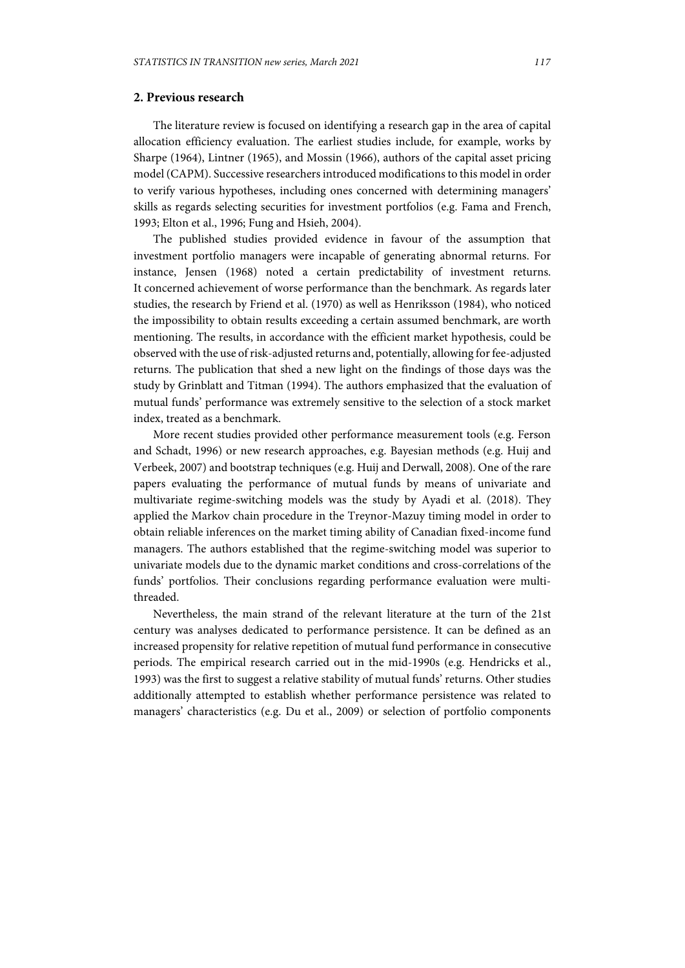# **2. Previous research**

The literature review is focused on identifying a research gap in the area of capital allocation efficiency evaluation. The earliest studies include, for example, works by Sharpe (1964), Lintner (1965), and Mossin (1966), authors of the capital asset pricing model (CAPM). Successive researchers introduced modifications to this model in order to verify various hypotheses, including ones concerned with determining managers' skills as regards selecting securities for investment portfolios (e.g. Fama and French, 1993; Elton et al., 1996; Fung and Hsieh, 2004).

The published studies provided evidence in favour of the assumption that investment portfolio managers were incapable of generating abnormal returns. For instance, Jensen (1968) noted a certain predictability of investment returns. It concerned achievement of worse performance than the benchmark. As regards later studies, the research by Friend et al. (1970) as well as Henriksson (1984), who noticed the impossibility to obtain results exceeding a certain assumed benchmark, are worth mentioning. The results, in accordance with the efficient market hypothesis, could be observed with the use of risk-adjusted returns and, potentially, allowing for fee-adjusted returns. The publication that shed a new light on the findings of those days was the study by Grinblatt and Titman (1994). The authors emphasized that the evaluation of mutual funds' performance was extremely sensitive to the selection of a stock market index, treated as a benchmark.

More recent studies provided other performance measurement tools (e.g. Ferson and Schadt, 1996) or new research approaches, e.g. Bayesian methods (e.g. Huij and Verbeek, 2007) and bootstrap techniques (e.g. Huij and Derwall, 2008). One of the rare papers evaluating the performance of mutual funds by means of univariate and multivariate regime-switching models was the study by Ayadi et al. (2018). They applied the Markov chain procedure in the Treynor-Mazuy timing model in order to obtain reliable inferences on the market timing ability of Canadian fixed-income fund managers. The authors established that the regime-switching model was superior to univariate models due to the dynamic market conditions and cross-correlations of the funds' portfolios. Their conclusions regarding performance evaluation were multithreaded.

Nevertheless, the main strand of the relevant literature at the turn of the 21st century was analyses dedicated to performance persistence. It can be defined as an increased propensity for relative repetition of mutual fund performance in consecutive periods. The empirical research carried out in the mid-1990s (e.g. Hendricks et al., 1993) was the first to suggest a relative stability of mutual funds' returns. Other studies additionally attempted to establish whether performance persistence was related to managers' characteristics (e.g. Du et al., 2009) or selection of portfolio components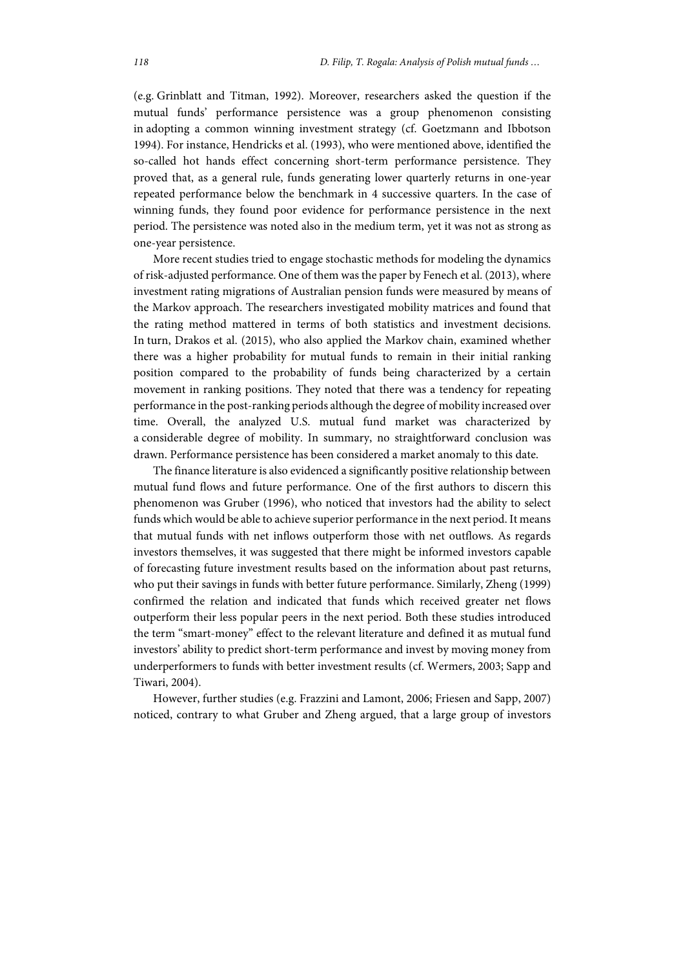(e.g. Grinblatt and Titman, 1992). Moreover, researchers asked the question if the mutual funds' performance persistence was a group phenomenon consisting in adopting a common winning investment strategy (cf. Goetzmann and Ibbotson 1994). For instance, Hendricks et al. (1993), who were mentioned above, identified the so-called hot hands effect concerning short-term performance persistence. They proved that, as a general rule, funds generating lower quarterly returns in one-year repeated performance below the benchmark in 4 successive quarters. In the case of winning funds, they found poor evidence for performance persistence in the next period. The persistence was noted also in the medium term, yet it was not as strong as one-year persistence.

More recent studies tried to engage stochastic methods for modeling the dynamics of risk-adjusted performance. One of them was the paper by Fenech et al. (2013), where investment rating migrations of Australian pension funds were measured by means of the Markov approach. The researchers investigated mobility matrices and found that the rating method mattered in terms of both statistics and investment decisions. In turn, Drakos et al. (2015), who also applied the Markov chain, examined whether there was a higher probability for mutual funds to remain in their initial ranking position compared to the probability of funds being characterized by a certain movement in ranking positions. They noted that there was a tendency for repeating performance in the post-ranking periods although the degree of mobility increased over time. Overall, the analyzed U.S. mutual fund market was characterized by a considerable degree of mobility. In summary, no straightforward conclusion was drawn. Performance persistence has been considered a market anomaly to this date.

The finance literature is also evidenced a significantly positive relationship between mutual fund flows and future performance. One of the first authors to discern this phenomenon was Gruber (1996), who noticed that investors had the ability to select funds which would be able to achieve superior performance in the next period. It means that mutual funds with net inflows outperform those with net outflows. As regards investors themselves, it was suggested that there might be informed investors capable of forecasting future investment results based on the information about past returns, who put their savings in funds with better future performance. Similarly, Zheng (1999) confirmed the relation and indicated that funds which received greater net flows outperform their less popular peers in the next period. Both these studies introduced the term "smart-money" effect to the relevant literature and defined it as mutual fund investors' ability to predict short-term performance and invest by moving money from underperformers to funds with better investment results (cf. Wermers, 2003; Sapp and Tiwari, 2004).

However, further studies (e.g. Frazzini and Lamont, 2006; Friesen and Sapp, 2007) noticed, contrary to what Gruber and Zheng argued, that a large group of investors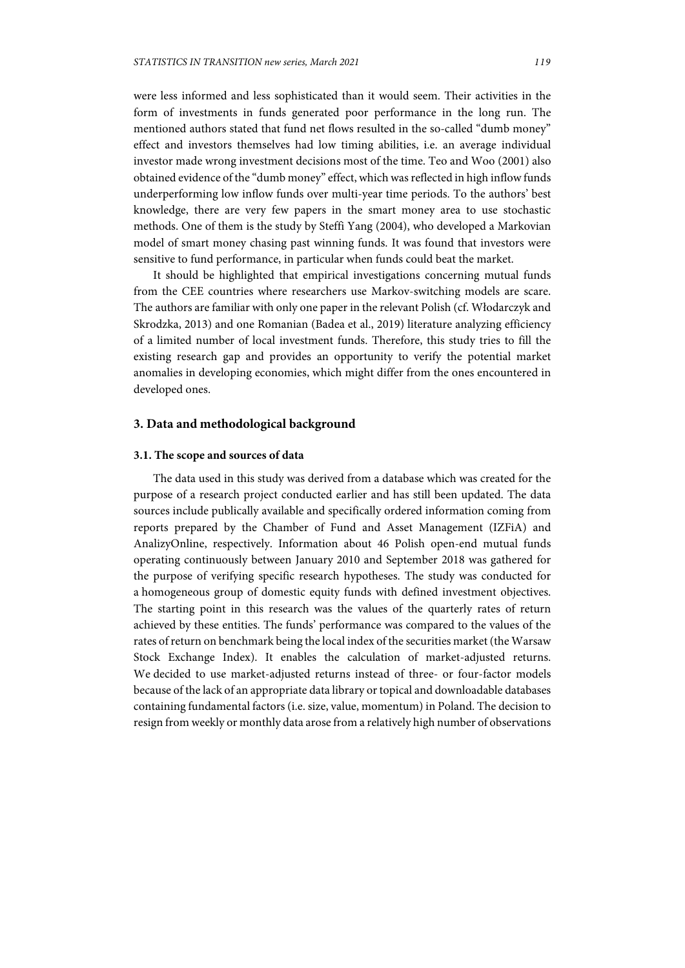were less informed and less sophisticated than it would seem. Their activities in the form of investments in funds generated poor performance in the long run. The mentioned authors stated that fund net flows resulted in the so-called "dumb money" effect and investors themselves had low timing abilities, i.e. an average individual investor made wrong investment decisions most of the time. Teo and Woo (2001) also obtained evidence of the "dumb money" effect, which was reflected in high inflow funds underperforming low inflow funds over multi-year time periods. To the authors' best knowledge, there are very few papers in the smart money area to use stochastic methods. One of them is the study by Steffi Yang (2004), who developed a Markovian model of smart money chasing past winning funds. It was found that investors were sensitive to fund performance, in particular when funds could beat the market.

It should be highlighted that empirical investigations concerning mutual funds from the CEE countries where researchers use Markov-switching models are scare. The authors are familiar with only one paper in the relevant Polish (cf. Włodarczyk and Skrodzka, 2013) and one Romanian (Badea et al., 2019) literature analyzing efficiency of a limited number of local investment funds. Therefore, this study tries to fill the existing research gap and provides an opportunity to verify the potential market anomalies in developing economies, which might differ from the ones encountered in developed ones.

### **3. Data and methodological background**

### **3.1. The scope and sources of data**

The data used in this study was derived from a database which was created for the purpose of a research project conducted earlier and has still been updated. The data sources include publically available and specifically ordered information coming from reports prepared by the Chamber of Fund and Asset Management (IZFiA) and AnalizyOnline, respectively. Information about 46 Polish open-end mutual funds operating continuously between January 2010 and September 2018 was gathered for the purpose of verifying specific research hypotheses. The study was conducted for a homogeneous group of domestic equity funds with defined investment objectives. The starting point in this research was the values of the quarterly rates of return achieved by these entities. The funds' performance was compared to the values of the rates of return on benchmark being the local index of the securities market (the Warsaw Stock Exchange Index). It enables the calculation of market-adjusted returns. We decided to use market-adjusted returns instead of three- or four-factor models because of the lack of an appropriate data library or topical and downloadable databases containing fundamental factors (i.e. size, value, momentum) in Poland. The decision to resign from weekly or monthly data arose from a relatively high number of observations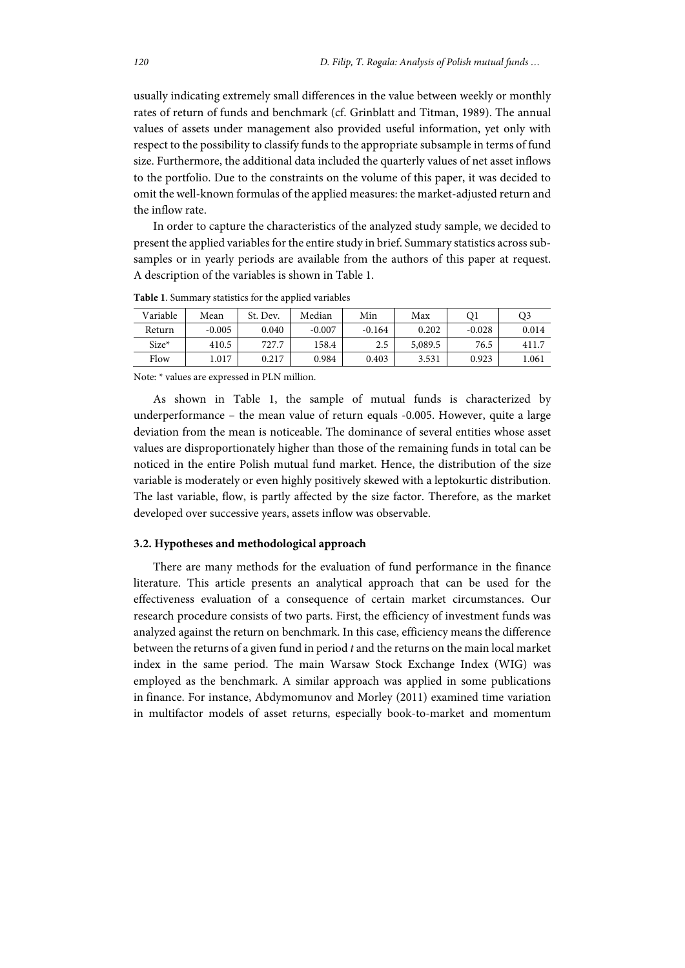usually indicating extremely small differences in the value between weekly or monthly rates of return of funds and benchmark (cf. Grinblatt and Titman, 1989). The annual values of assets under management also provided useful information, yet only with respect to the possibility to classify funds to the appropriate subsample in terms of fund size. Furthermore, the additional data included the quarterly values of net asset inflows to the portfolio. Due to the constraints on the volume of this paper, it was decided to omit the well-known formulas of the applied measures: the market-adjusted return and the inflow rate.

In order to capture the characteristics of the analyzed study sample, we decided to present the applied variables for the entire study in brief. Summary statistics across subsamples or in yearly periods are available from the authors of this paper at request. A description of the variables is shown in Table 1.

| Variable | Mean     | St. Dev. | Median   | Min      | Max     | O1       | O3    |
|----------|----------|----------|----------|----------|---------|----------|-------|
| Return   | $-0.005$ | 0.040    | $-0.007$ | $-0.164$ | 0.202   | $-0.028$ | 0.014 |
| $Size*$  | 410.5    | 727.7    | 158.4    | 2.5      | 5,089.5 | 76.5     | 411.7 |
| Flow     | .017     | 0.217    | 0.984    | 0.403    | 3.531   | 0.923    | l.061 |

**Table 1**. Summary statistics for the applied variables

Note: \* values are expressed in PLN million.

As shown in Table 1, the sample of mutual funds is characterized by underperformance – the mean value of return equals -0.005. However, quite a large deviation from the mean is noticeable. The dominance of several entities whose asset values are disproportionately higher than those of the remaining funds in total can be noticed in the entire Polish mutual fund market. Hence, the distribution of the size variable is moderately or even highly positively skewed with a leptokurtic distribution. The last variable, flow, is partly affected by the size factor. Therefore, as the market developed over successive years, assets inflow was observable.

### **3.2. Hypotheses and methodological approach**

There are many methods for the evaluation of fund performance in the finance literature. This article presents an analytical approach that can be used for the effectiveness evaluation of a consequence of certain market circumstances. Our research procedure consists of two parts. First, the efficiency of investment funds was analyzed against the return on benchmark. In this case, efficiency means the difference between the returns of a given fund in period *t* and the returns on the main local market index in the same period. The main Warsaw Stock Exchange Index (WIG) was employed as the benchmark. A similar approach was applied in some publications in finance. For instance, Abdymomunov and Morley (2011) examined time variation in multifactor models of asset returns, especially book-to-market and momentum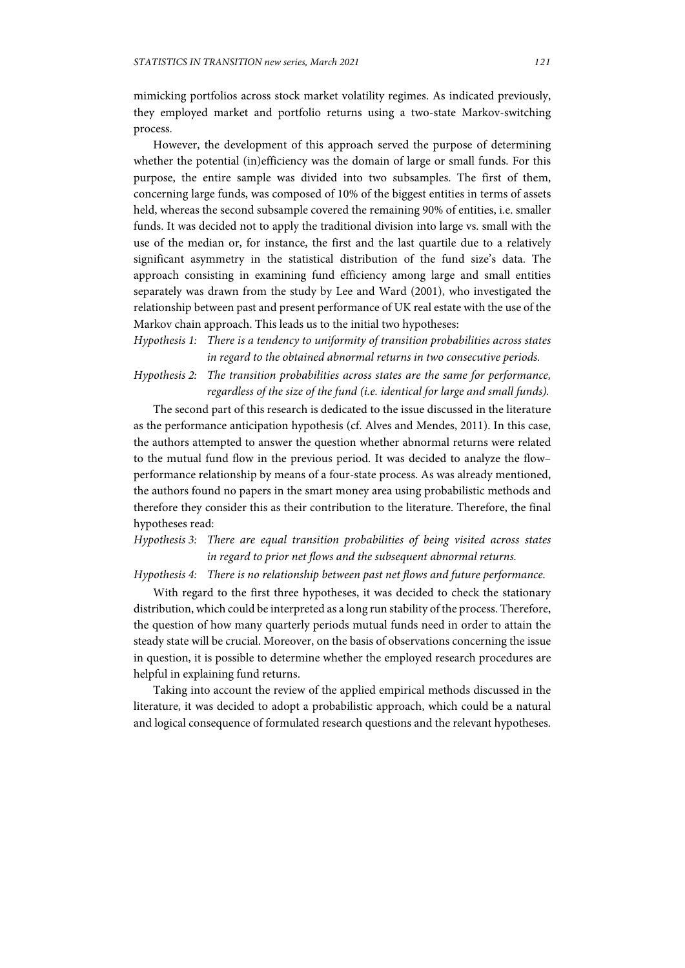mimicking portfolios across stock market volatility regimes. As indicated previously, they employed market and portfolio returns using a two-state Markov-switching process.

However, the development of this approach served the purpose of determining whether the potential (in)efficiency was the domain of large or small funds. For this purpose, the entire sample was divided into two subsamples. The first of them, concerning large funds, was composed of 10% of the biggest entities in terms of assets held, whereas the second subsample covered the remaining 90% of entities, i.e. smaller funds. It was decided not to apply the traditional division into large vs. small with the use of the median or, for instance, the first and the last quartile due to a relatively significant asymmetry in the statistical distribution of the fund size's data. The approach consisting in examining fund efficiency among large and small entities separately was drawn from the study by Lee and Ward (2001), who investigated the relationship between past and present performance of UK real estate with the use of the Markov chain approach. This leads us to the initial two hypotheses:

*Hypothesis 1: There is a tendency to uniformity of transition probabilities across states in regard to the obtained abnormal returns in two consecutive periods.* 

*Hypothesis 2: The transition probabilities across states are the same for performance, regardless of the size of the fund (i.e. identical for large and small funds).* 

The second part of this research is dedicated to the issue discussed in the literature as the performance anticipation hypothesis (cf. Alves and Mendes, 2011). In this case, the authors attempted to answer the question whether abnormal returns were related to the mutual fund flow in the previous period. It was decided to analyze the flow– performance relationship by means of a four-state process. As was already mentioned, the authors found no papers in the smart money area using probabilistic methods and therefore they consider this as their contribution to the literature. Therefore, the final hypotheses read:

# *Hypothesis 3: There are equal transition probabilities of being visited across states in regard to prior net flows and the subsequent abnormal returns.*

*Hypothesis 4: There is no relationship between past net flows and future performance.* 

With regard to the first three hypotheses, it was decided to check the stationary distribution, which could be interpreted as a long run stability of the process. Therefore, the question of how many quarterly periods mutual funds need in order to attain the steady state will be crucial. Moreover, on the basis of observations concerning the issue in question, it is possible to determine whether the employed research procedures are helpful in explaining fund returns.

Taking into account the review of the applied empirical methods discussed in the literature, it was decided to adopt a probabilistic approach, which could be a natural and logical consequence of formulated research questions and the relevant hypotheses.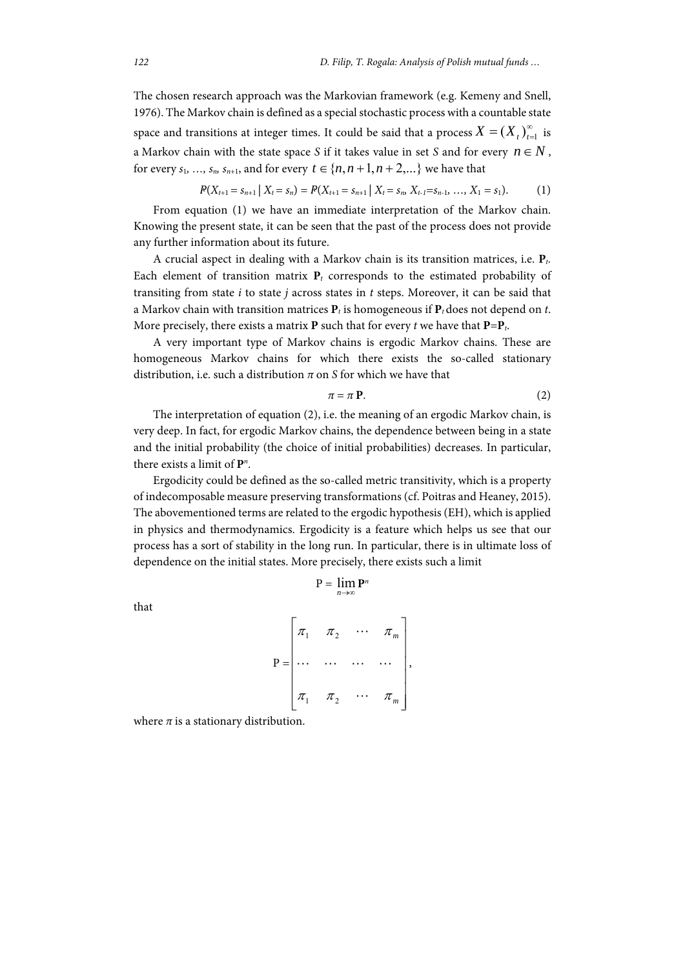The chosen research approach was the Markovian framework (e.g. Kemeny and Snell, 1976). The Markov chain is defined as a special stochastic process with a countable state space and transitions at integer times. It could be said that a process  $X = (X_t)_{t=1}^{\infty}$  is a Markov chain with the state space *S* if it takes value in set *S* and for every  $n \in N$ , for every  $s_1, ..., s_n, s_{n+1}$ , and for every  $t \in \{n, n+1, n+2, ...\}$  we have that

$$
P(X_{t+1}=s_{n+1}\mid X_t=s_n)=P(X_{t+1}=s_{n+1}\mid X_t=s_n, X_{t-1}=s_{n-1},..., X_1=s_1). \hspace{1cm} (1)
$$

From equation (1) we have an immediate interpretation of the Markov chain. Knowing the present state, it can be seen that the past of the process does not provide any further information about its future.

A crucial aspect in dealing with a Markov chain is its transition matrices, i.e. **P***t.*  Each element of transition matrix  $P_t$  corresponds to the estimated probability of transiting from state *i* to state *j* across states in *t* steps. Moreover, it can be said that a Markov chain with transition matrices **P***t* is homogeneous if **P***t* does not depend on *t*. More precisely, there exists a matrix **P** such that for every *t* we have that  $P = P_t$ .

A very important type of Markov chains is ergodic Markov chains. These are homogeneous Markov chains for which there exists the so-called stationary distribution, i.e. such a distribution *π* on *S* for which we have that

$$
\pi = \pi \mathbf{P}.\tag{2}
$$

The interpretation of equation (2), i.e. the meaning of an ergodic Markov chain, is very deep. In fact, for ergodic Markov chains, the dependence between being in a state and the initial probability (the choice of initial probabilities) decreases. In particular, there exists a limit of **P***<sup>n</sup>* .

Ergodicity could be defined as the so-called metric transitivity, which is a property of indecomposable measure preserving transformations (cf. Poitras and Heaney, 2015). The abovementioned terms are related to the ergodic hypothesis (EH), which is applied in physics and thermodynamics. Ergodicity is a feature which helps us see that our process has a sort of stability in the long run. In particular, there is in ultimate loss of dependence on the initial states. More precisely, there exists such a limit

$$
P = \lim_{n \to \infty} P^n
$$

$$
P = \begin{bmatrix} \pi_1 & \pi_2 & \cdots & \pi_m \\ \cdots & \cdots & \cdots & \cdots \\ \pi_1 & \pi_2 & \cdots & \pi_m \end{bmatrix}
$$

,

where  $\pi$  is a stationary distribution.

that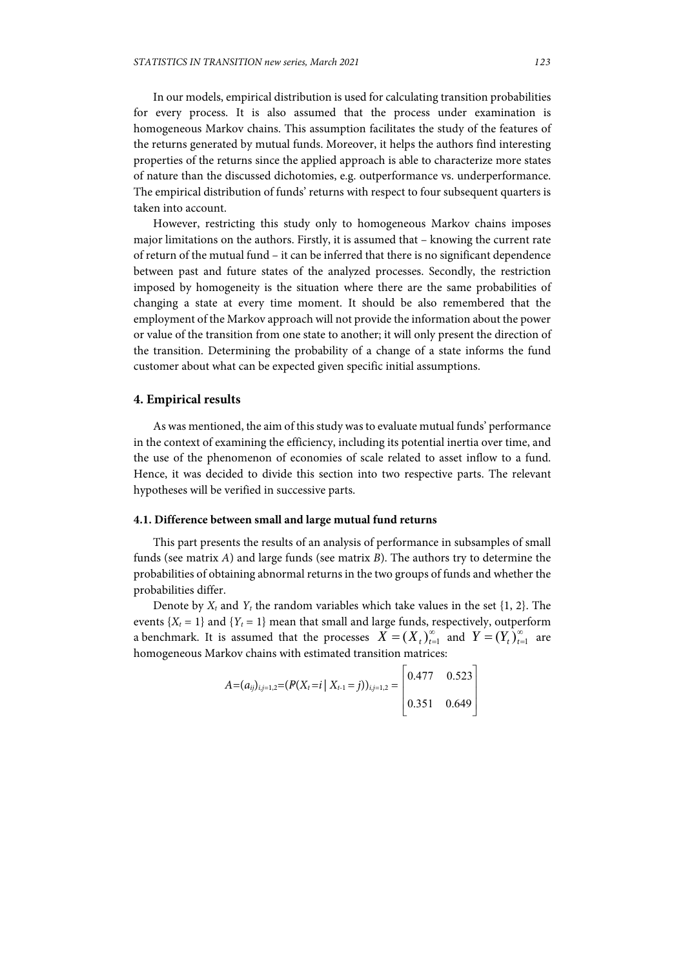In our models, empirical distribution is used for calculating transition probabilities for every process. It is also assumed that the process under examination is homogeneous Markov chains. This assumption facilitates the study of the features of the returns generated by mutual funds. Moreover, it helps the authors find interesting properties of the returns since the applied approach is able to characterize more states of nature than the discussed dichotomies, e.g. outperformance vs. underperformance. The empirical distribution of funds' returns with respect to four subsequent quarters is taken into account.

However, restricting this study only to homogeneous Markov chains imposes major limitations on the authors. Firstly, it is assumed that – knowing the current rate of return of the mutual fund – it can be inferred that there is no significant dependence between past and future states of the analyzed processes. Secondly, the restriction imposed by homogeneity is the situation where there are the same probabilities of changing a state at every time moment. It should be also remembered that the employment of the Markov approach will not provide the information about the power or value of the transition from one state to another; it will only present the direction of the transition. Determining the probability of a change of a state informs the fund customer about what can be expected given specific initial assumptions.

### **4. Empirical results**

As was mentioned, the aim of this study was to evaluate mutual funds' performance in the context of examining the efficiency, including its potential inertia over time, and the use of the phenomenon of economies of scale related to asset inflow to a fund. Hence, it was decided to divide this section into two respective parts. The relevant hypotheses will be verified in successive parts.

### **4.1. Difference between small and large mutual fund returns**

This part presents the results of an analysis of performance in subsamples of small funds (see matrix *A*) and large funds (see matrix *B*). The authors try to determine the probabilities of obtaining abnormal returns in the two groups of funds and whether the probabilities differ.

Denote by  $X_t$  and  $Y_t$  the random variables which take values in the set  $\{1, 2\}$ . The events  ${X_t = 1}$  and  ${Y_t = 1}$  mean that small and large funds, respectively, outperform a benchmark. It is assumed that the processes  $X = (X_t)_{t=1}^{\infty}$  and  $Y = (Y_t)_{t=1}^{\infty}$  are homogeneous Markov chains with estimated transition matrices:

$$
A = (a_{ij})_{i,j=1,2} = (P(X_t = i \mid X_{t-1} = j))_{i,j=1,2} = \begin{bmatrix} 0.477 & 0.523 \\ 0.351 & 0.649 \end{bmatrix}
$$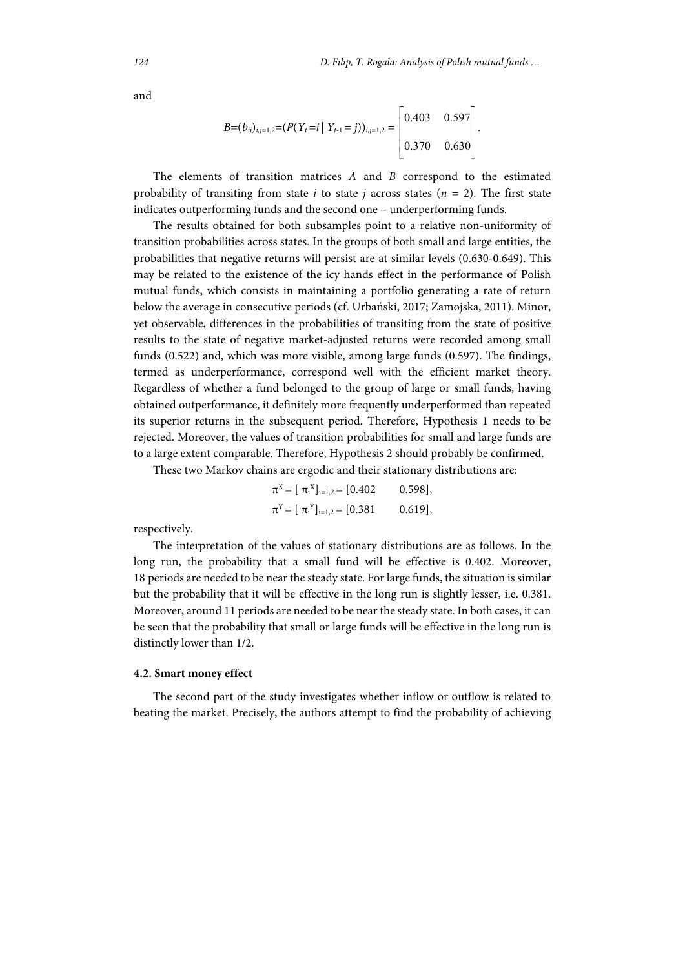and

$$
B=(b_{ij})_{i,j=1,2}=(P(Y_t=i \mid Y_{t-1}=j))_{i,j=1,2}=\begin{bmatrix} 0.403 & 0.597 \\ 0.370 & 0.630 \end{bmatrix}.
$$

The elements of transition matrices *A* and *B* correspond to the estimated probability of transiting from state *i* to state *j* across states ( $n = 2$ ). The first state indicates outperforming funds and the second one – underperforming funds.

The results obtained for both subsamples point to a relative non-uniformity of transition probabilities across states. In the groups of both small and large entities, the probabilities that negative returns will persist are at similar levels (0.630-0.649). This may be related to the existence of the icy hands effect in the performance of Polish mutual funds, which consists in maintaining a portfolio generating a rate of return below the average in consecutive periods (cf. Urbański, 2017; Zamojska, 2011). Minor, yet observable, differences in the probabilities of transiting from the state of positive results to the state of negative market-adjusted returns were recorded among small funds (0.522) and, which was more visible, among large funds (0.597). The findings, termed as underperformance, correspond well with the efficient market theory. Regardless of whether a fund belonged to the group of large or small funds, having obtained outperformance, it definitely more frequently underperformed than repeated its superior returns in the subsequent period. Therefore, Hypothesis 1 needs to be rejected. Moreover, the values of transition probabilities for small and large funds are to a large extent comparable. Therefore, Hypothesis 2 should probably be confirmed.

These two Markov chains are ergodic and their stationary distributions are:

$$
\pi^X = [\pi_i^X]_{i=1,2} = [0.402 \qquad 0.598],
$$
  
\n
$$
\pi^Y = [\pi_i^Y]_{i=1,2} = [0.381 \qquad 0.619],
$$

respectively.

The interpretation of the values of stationary distributions are as follows. In the long run, the probability that a small fund will be effective is 0.402. Moreover, 18 periods are needed to be near the steady state. For large funds, the situation is similar but the probability that it will be effective in the long run is slightly lesser, i.e. 0.381. Moreover, around 11 periods are needed to be near the steady state. In both cases, it can be seen that the probability that small or large funds will be effective in the long run is distinctly lower than 1/2.

### **4.2. Smart money effect**

The second part of the study investigates whether inflow or outflow is related to beating the market. Precisely, the authors attempt to find the probability of achieving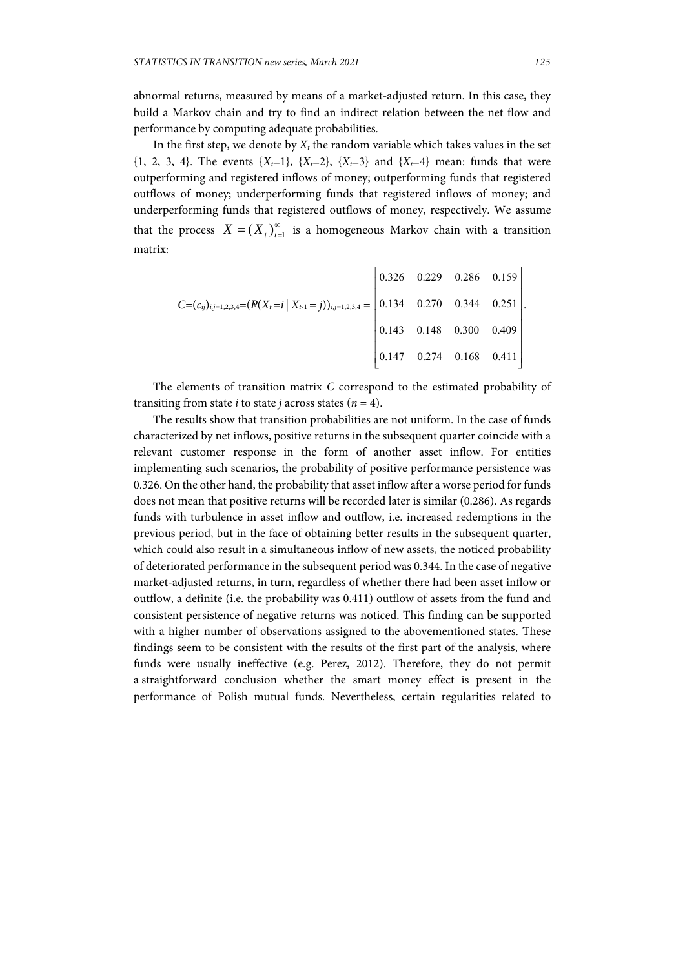abnormal returns, measured by means of a market-adjusted return. In this case, they build a Markov chain and try to find an indirect relation between the net flow and performance by computing adequate probabilities.

In the first step, we denote by  $X_t$  the random variable which takes values in the set  $\{1, 2, 3, 4\}$ . The events  $\{X_t=1\}$ ,  $\{X_t=2\}$ ,  $\{X_t=3\}$  and  $\{X_t=4\}$  mean: funds that were outperforming and registered inflows of money; outperforming funds that registered outflows of money; underperforming funds that registered inflows of money; and underperforming funds that registered outflows of money, respectively. We assume that the process  $X = (X_t)_{t=1}^{\infty}$  is a homogeneous Markov chain with a transition matrix:

|                                                                                                         |  | $\begin{bmatrix} 0.326 & 0.229 & 0.286 & 0.159 \end{bmatrix}$ |
|---------------------------------------------------------------------------------------------------------|--|---------------------------------------------------------------|
| $C=(c_{ij})_{i,j=1,2,3,4}=(P(X_t=i   X_{t-1}=j))_{i,j=1,2,3,4} =   0.134 \t 0.270 \t 0.344 \t 0.251  .$ |  |                                                               |
|                                                                                                         |  | $\begin{bmatrix} 0.143 & 0.148 & 0.300 & 0.409 \end{bmatrix}$ |
|                                                                                                         |  | $\begin{vmatrix} 0.147 & 0.274 & 0.168 & 0.411 \end{vmatrix}$ |

The elements of transition matrix *C* correspond to the estimated probability of transiting from state *i* to state *j* across states ( $n = 4$ ).

The results show that transition probabilities are not uniform. In the case of funds characterized by net inflows, positive returns in the subsequent quarter coincide with a relevant customer response in the form of another asset inflow. For entities implementing such scenarios, the probability of positive performance persistence was 0.326. On the other hand, the probability that asset inflow after a worse period for funds does not mean that positive returns will be recorded later is similar (0.286). As regards funds with turbulence in asset inflow and outflow, i.e. increased redemptions in the previous period, but in the face of obtaining better results in the subsequent quarter, which could also result in a simultaneous inflow of new assets, the noticed probability of deteriorated performance in the subsequent period was 0.344. In the case of negative market-adjusted returns, in turn, regardless of whether there had been asset inflow or outflow, a definite (i.e. the probability was 0.411) outflow of assets from the fund and consistent persistence of negative returns was noticed. This finding can be supported with a higher number of observations assigned to the abovementioned states. These findings seem to be consistent with the results of the first part of the analysis, where funds were usually ineffective (e.g. Perez, 2012). Therefore, they do not permit a straightforward conclusion whether the smart money effect is present in the performance of Polish mutual funds. Nevertheless, certain regularities related to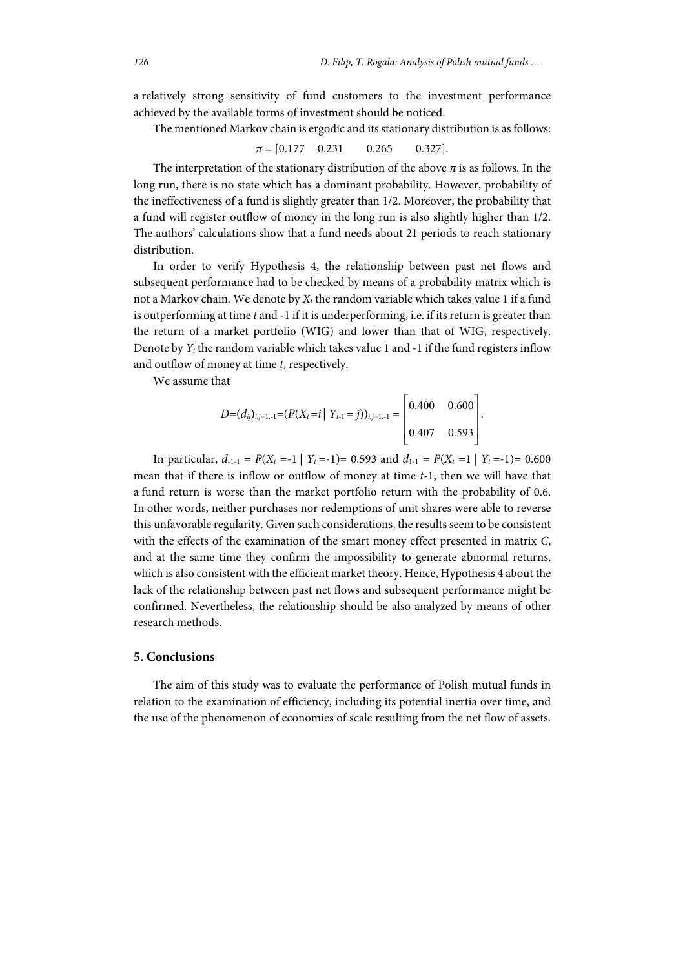a relatively strong sensitivity of fund customers to the investment performance achieved by the available forms of investment should be noticed.

The mentioned Markov chain is ergodic and its stationary distribution is as follows:

 $\pi = [0.177 \quad 0.231 \quad 0.265 \quad 0.327]$ .

The interpretation of the stationary distribution of the above  $\pi$  is as follows. In the long run, there is no state which has a dominant probability. However, probability of the ineffectiveness of a fund is slightly greater than 1/2. Moreover, the probability that a fund will register outflow of money in the long run is also slightly higher than 1/2. The authors' calculations show that a fund needs about 21 periods to reach stationary distribution.

In order to verify Hypothesis 4, the relationship between past net flows and subsequent performance had to be checked by means of a probability matrix which is not a Markov chain. We denote by  $X_t$  the random variable which takes value 1 if a fund is outperforming at time *t* and -1 if it is underperforming, i.e. if its return is greater than the return of a market portfolio (WIG) and lower than that of WIG, respectively. Denote by *Yt* the random variable which takes value 1 and -1 if the fund registers inflow and outflow of money at time *t*, respectively.

We assume that

$$
D=(d_{ij})_{i,j=1,-1}=(P(X_t=i\mid Y_{t-1}=j))_{i,j=1,-1}=\begin{bmatrix} 0.400 & 0.600 \\ 0.407 & 0.593 \end{bmatrix}.
$$

In particular,  $d_{1-1} = P(X_t = -1 | Y_t = -1) = 0.593$  and  $d_{1-1} = P(X_t = 1 | Y_t = -1) = 0.600$ mean that if there is inflow or outflow of money at time *t*-1, then we will have that a fund return is worse than the market portfolio return with the probability of 0.6. In other words, neither purchases nor redemptions of unit shares were able to reverse this unfavorable regularity. Given such considerations, the results seem to be consistent with the effects of the examination of the smart money effect presented in matrix *C*, and at the same time they confirm the impossibility to generate abnormal returns, which is also consistent with the efficient market theory. Hence, Hypothesis 4 about the lack of the relationship between past net flows and subsequent performance might be confirmed. Nevertheless, the relationship should be also analyzed by means of other research methods.

#### **5. Conclusions**

The aim of this study was to evaluate the performance of Polish mutual funds in relation to the examination of efficiency, including its potential inertia over time, and the use of the phenomenon of economies of scale resulting from the net flow of assets.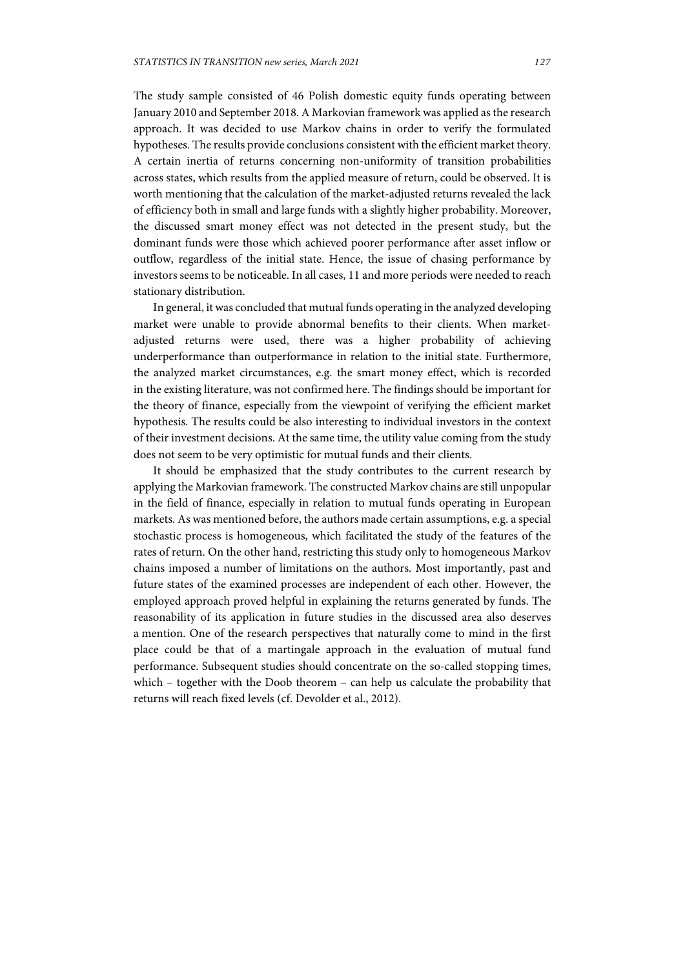The study sample consisted of 46 Polish domestic equity funds operating between January 2010 and September 2018. A Markovian framework was applied as the research approach. It was decided to use Markov chains in order to verify the formulated hypotheses. The results provide conclusions consistent with the efficient market theory. A certain inertia of returns concerning non-uniformity of transition probabilities across states, which results from the applied measure of return, could be observed. It is worth mentioning that the calculation of the market-adjusted returns revealed the lack of efficiency both in small and large funds with a slightly higher probability. Moreover, the discussed smart money effect was not detected in the present study, but the dominant funds were those which achieved poorer performance after asset inflow or outflow, regardless of the initial state. Hence, the issue of chasing performance by investors seems to be noticeable. In all cases, 11 and more periods were needed to reach stationary distribution.

In general, it was concluded that mutual funds operating in the analyzed developing market were unable to provide abnormal benefits to their clients. When marketadjusted returns were used, there was a higher probability of achieving underperformance than outperformance in relation to the initial state. Furthermore, the analyzed market circumstances, e.g. the smart money effect, which is recorded in the existing literature, was not confirmed here. The findings should be important for the theory of finance, especially from the viewpoint of verifying the efficient market hypothesis. The results could be also interesting to individual investors in the context of their investment decisions. At the same time, the utility value coming from the study does not seem to be very optimistic for mutual funds and their clients.

It should be emphasized that the study contributes to the current research by applying the Markovian framework. The constructed Markov chains are still unpopular in the field of finance, especially in relation to mutual funds operating in European markets. As was mentioned before, the authors made certain assumptions, e.g. a special stochastic process is homogeneous, which facilitated the study of the features of the rates of return. On the other hand, restricting this study only to homogeneous Markov chains imposed a number of limitations on the authors. Most importantly, past and future states of the examined processes are independent of each other. However, the employed approach proved helpful in explaining the returns generated by funds. The reasonability of its application in future studies in the discussed area also deserves a mention. One of the research perspectives that naturally come to mind in the first place could be that of a martingale approach in the evaluation of mutual fund performance. Subsequent studies should concentrate on the so-called stopping times, which – together with the Doob theorem – can help us calculate the probability that returns will reach fixed levels (cf. Devolder et al., 2012).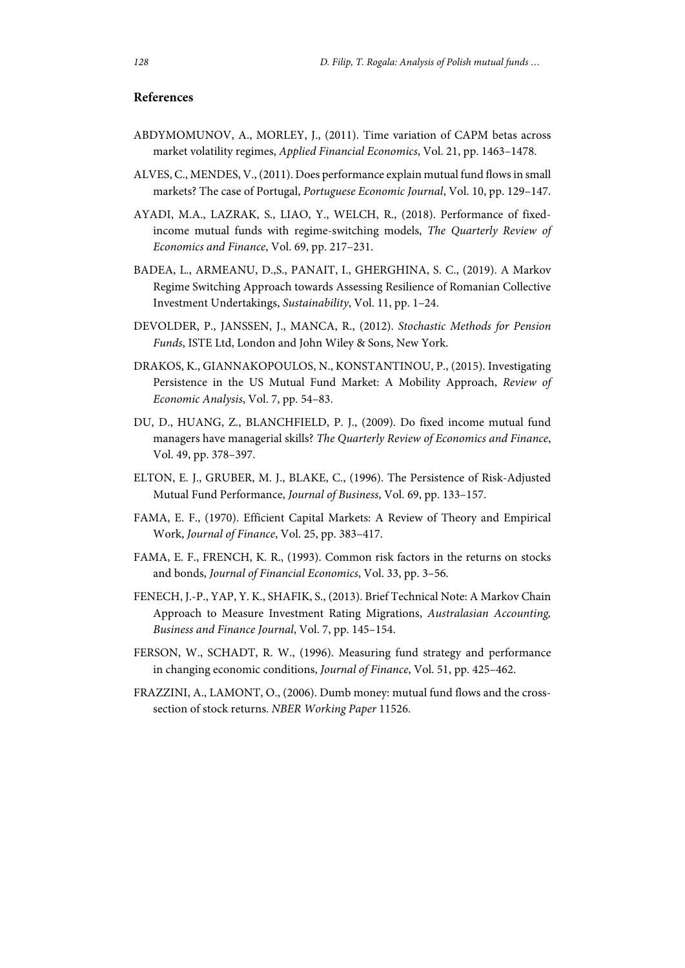# **References**

- ABDYMOMUNOV, A., MORLEY, J., (2011). Time variation of CAPM betas across market volatility regimes, *Applied Financial Economics*, Vol. 21, pp. 1463–1478.
- ALVES, C., MENDES, V., (2011). Does performance explain mutual fund flows in small markets? The case of Portugal, *Portuguese Economic Journal*, Vol. 10, pp. 129–147.
- AYADI, M.A., LAZRAK, S., LIAO, Y., WELCH, R., (2018). Performance of fixedincome mutual funds with regime-switching models, *The Quarterly Review of Economics and Finance*, Vol. 69, pp. 217–231.
- BADEA, L., ARMEANU, D.,S., PANAIT, I., GHERGHINA, S. C., (2019). A Markov Regime Switching Approach towards Assessing Resilience of Romanian Collective Investment Undertakings, *Sustainability*, Vol. 11, pp. 1–24.
- DEVOLDER, P., JANSSEN, J., MANCA, R., (2012). *Stochastic Methods for Pension Funds*, ISTE Ltd, London and John Wiley & Sons, New York.
- DRAKOS, K., GIANNAKOPOULOS, N., KONSTANTINOU, P., (2015). Investigating Persistence in the US Mutual Fund Market: A Mobility Approach, *Review of Economic Analysis*, Vol. 7, pp. 54–83.
- DU, D., HUANG, Z., BLANCHFIELD, P. J., (2009). Do fixed income mutual fund managers have managerial skills? *The Quarterly Review of Economics and Finance*, Vol. 49, pp. 378–397.
- ELTON, E. J., GRUBER, M. J., BLAKE, C., (1996). The Persistence of Risk-Adjusted Mutual Fund Performance, *Journal of Business*, Vol. 69, pp. 133–157.
- FAMA, E. F., (1970). Efficient Capital Markets: A Review of Theory and Empirical Work, *Journal of Finance*, Vol. 25, pp. 383–417.
- FAMA, E. F., FRENCH, K. R., (1993). Common risk factors in the returns on stocks and bonds, *Journal of Financial Economics*, Vol. 33, pp. 3–56.
- FENECH, J.-P., YAP, Y. K., SHAFIK, S., (2013). Brief Technical Note: A Markov Chain Approach to Measure Investment Rating Migrations, *Australasian Accounting, Business and Finance Journal*, Vol. 7, pp. 145–154.
- FERSON, W., SCHADT, R. W., (1996). Measuring fund strategy and performance in changing economic conditions, *Journal of Finance*, Vol. 51, pp. 425–462.
- FRAZZINI, A., LAMONT, O., (2006). Dumb money: mutual fund flows and the crosssection of stock returns. *NBER Working Paper* 11526.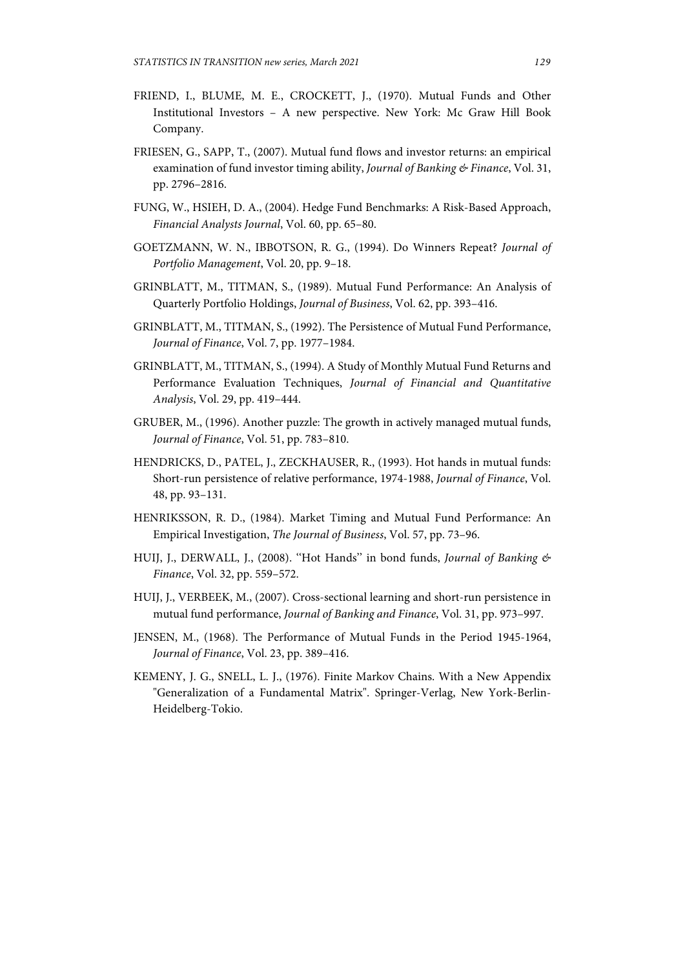- FRIEND, I., BLUME, M. E., CROCKETT, J., (1970). Mutual Funds and Other Institutional Investors – A new perspective. New York: Mc Graw Hill Book Company.
- FRIESEN, G., SAPP, T., (2007). Mutual fund flows and investor returns: an empirical examination of fund investor timing ability, *Journal of Banking & Finance*, Vol. 31, pp. 2796–2816.
- FUNG, W., HSIEH, D. A., (2004). Hedge Fund Benchmarks: A Risk-Based Approach, *Financial Analysts Journal*, Vol. 60, pp. 65–80.
- GOETZMANN, W. N., IBBOTSON, R. G., (1994). Do Winners Repeat? *Journal of Portfolio Management*, Vol. 20, pp. 9–18.
- GRINBLATT, M., TITMAN, S., (1989). Mutual Fund Performance: An Analysis of Quarterly Portfolio Holdings, *Journal of Business*, Vol. 62, pp. 393–416.
- GRINBLATT, M., TITMAN, S., (1992). The Persistence of Mutual Fund Performance, *Journal of Finance*, Vol. 7, pp. 1977–1984.
- GRINBLATT, M., TITMAN, S., (1994). A Study of Monthly Mutual Fund Returns and Performance Evaluation Techniques, *Journal of Financial and Quantitative Analysis*, Vol. 29, pp. 419–444.
- GRUBER, M., (1996). Another puzzle: The growth in actively managed mutual funds, *Journal of Finance*, Vol. 51, pp. 783–810.
- HENDRICKS, D., PATEL, J., ZECKHAUSER, R., (1993). Hot hands in mutual funds: Short-run persistence of relative performance, 1974-1988, *Journal of Finance*, Vol. 48, pp. 93–131.
- HENRIKSSON, R. D., (1984). Market Timing and Mutual Fund Performance: An Empirical Investigation, *The Journal of Business*, Vol. 57, pp. 73–96.
- HUIJ, J., DERWALL, J., (2008). ''Hot Hands'' in bond funds, *Journal of Banking & Finance*, Vol. 32, pp. 559–572.
- HUIJ, J., VERBEEK, M., (2007). Cross-sectional learning and short-run persistence in mutual fund performance, *Journal of Banking and Finance*, Vol. 31, pp. 973–997.
- JENSEN, M., (1968). The Performance of Mutual Funds in the Period 1945-1964, *Journal of Finance*, Vol. 23, pp. 389–416.
- KEMENY, J. G., SNELL, L. J., (1976). Finite Markov Chains. With a New Appendix "Generalization of a Fundamental Matrix". Springer-Verlag, New York-Berlin-Heidelberg-Tokio.